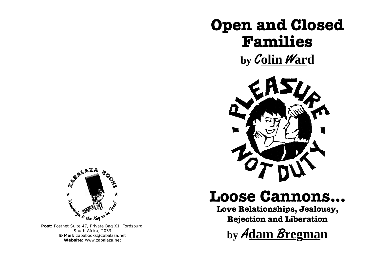## **Open and Closed Families by**  C**olin**  W**ar d**



#### A<sup>VALAZA</sup> **BOOK** Tready si the Key to be  $\star$   $\star$

Post: Postnet Suite 47, Private Bag X1, Fordsburg, South Africa, 2033 **E-Mail:** zababooks@zabalaza.net **Website:** www.zabalaza.net

# **Loose Cannons...**

**Love Relationships, Jealousy, Rejection and Liberation**

**by**  A**dam**  B**<sup>r</sup> egma n**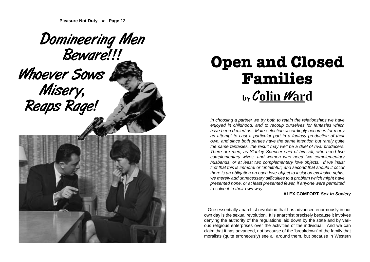**Pleasure Not Duty**  M **Page 12**



### **Open and Closed Families by**  C**olin**  W**ar d**

*In choosing a partner we try both to retain the relationships we have enjoyed in childhood, and to recoup ourselves for fantasies which have been denied us. Mate-selection accordingly becomes for many an attempt to cast a particular part in a fantasy production of their own, and since both parties have the same intention but rarely quite the same fantasies, the result may well be a duel of rival producers. There are men, as Stanley Spencer said of himself, who need two complementary wives, and women who need two complementary husbands, or at least two complementary love objects. If we insist first that this is immoral or 'unfaithful', and second that should it occur there is an obligation on each love-object to insist on exclusive rights, we merely add unnecessary difficulties to a problem which might have presented none, or at least presented fewer, if anyone were permitted to solve it in their own way.*

#### **ALEX COMFORT,** *Sex in Society*

One essentially anarchist revolution that has advanced enormously in our own day is the sexual revolution. It is anarchist precisely because it involves denying the authority of the regulations laid down by the state and by various religious enterprises over the activities of the individual. And we can claim that it has advanced, not because of the 'breakdown' of the family that moralists (quite erroneously) see all around them, but because in Western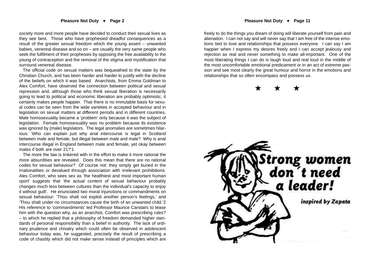society more and more people have decided to conduct their sexual lives as they see best. Those who have prophesied dreadful consequences as a result of the greater sexual freedom which the young assert – unwanted babies, venereal disease and so on – are usually the very same people who seek the fulfilment of their prophesies by opposing the free availability to the young of contraception and the removal of the stigma and mystification that surround venereal disease.

The official code on sexual matters was bequeathed to the state by the Christian Church, and has been harder and harder to justify with the decline of the beliefs on which it was based. Anarchists, from Emma Goldman to Alex Comfort, have observed the connection between political and sexual repression and, although those who think sexual liberation is necessarily going to lead to political and economic liberation are probably optimistic, it certainly makes people happier. That there is no immutable basis for sexual codes can be seen from the wide varieties in accepted behaviour and in legislation on sexual matters at different periods and in different countries. Male homosexuality became a 'problem' only because it was the subject of legislation. Female homosexuality was no problem because its existence was ignored by (male) legislators. The legal anomalies are sometimes hilarious: 'Who can explain just why anal intercourse is legal in Scotland between male and female, but illegal between male and male? Why is anal intercourse illegal in England between male and female, yet okay between males if both are over 21?'1

The more the law is tinkered with in the effort to make it more rational the more absurdities are revealed. Does this mean that there are no rational codes for sexual behaviour? Of course not: they simply get buried in the irrationalities or devalued through association with irrelevant prohibitions. Alex Comfort, who sees sex as 'the healthiest and most important human sport' suggests that 'the actual content of sexual behaviour probably changes much less between cultures than the individual's capacity to enjoy it without guilt'. He enunciated two moral injunctions or commandments on sexual behaviour: 'Thou shalt not exploit another person's feelings,' and 'Thou shalt under no circumstances cause the birth of an unwanted child.'2 His reference to 'commandments' led Professor Maurice Carstairs to tease him with the question why, as an anarchist, Comfort was prescribing rules? – to which he replied that a philosophy of freedom demanded higher standards of personal responsibility than a belief in authority. The lack of ordinary prudence and chivalry which could often be observed in adolescent behaviour today was, he suggested, precisely the result of prescribing a code of chastity which did not make sense instead of principles which are

freely to do the things you dream of doing will liberate yourself from pain and alienation. I can not say and will never say that I am free of the intense emotions tied to love and relationships that possess everyone. I can say I am happier when I express my desires freely and I can accept jealousy and rejection as real and never something to make all-important. One of the most liberating things I can do is laugh loud and real loud in the middle of the most uncomfortable emotional predicament or in an act of extreme passion and see most clearly the great humour and horror in the emotions and relationships that so often encompass and possess us.



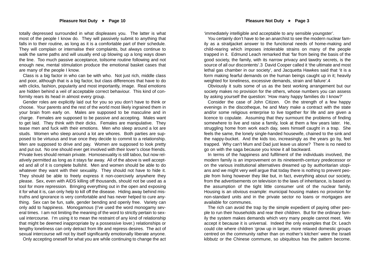totally depressed surrounded in what displeases you. The latter is what most of the people I know do. They will passively submit to anything that falls in to their routine, as long as it is a comfortable part of their schedule. They will complain or internalise their complaints, but always continue to walk the same paths and will usually end up blowing up a long ways down the line. Too much passive acceptance, toilsome routine following and not enough new, mental stimulation produce the emotional basket cases that are many of the people I know.

Class is a big factor in who can be with who. Not just rich, middle class and poor, although that is a big factor, but class differences that have to do with clicks, fashion, popularity and most importantly, image. Real emotions are hidden behind a veil of acceptable correct behaviour. This kind of conformity rears its head in almost every group.

Gender roles are explicitly laid out for you so you don't have to think or choose. Your parents and the rest of the world most likely ingrained them in your brain from early on. Males are supposed to be masculine and in charge. Females are supposed to be passive and accepting. Males want to get laid. They think with their dicks. Females are manipulative. They tease men and fuck with their emotions. Men who sleep around a lot are studs. Women who sleep around a lot are whores. Both parties are supposed to be virtuous and true once they decide to commit to a relationship. Men are supposed to drive and pay. Women are supposed to look pretty and put out. No one should ever get involved with their lover's close friends. Private lives should remain private. Homosexuality is still taboo, but now relatively permitted as long as it stays far away. All of the above is well accepted and all of it is complete bullshit. Men and women should be able to do whatever they want with their sexuality. They should not have to hide it. They should be able to freely express it non-coercively anywhere they please. Sex, even with AIDS killing off thousands, should not be used as a tool for more repression. Bringing everything out in the open and exposing it for what it is, can only help to kill off the disease. Hiding away behind mistruths and ignorance is very comfortable and has never helped to cure anything. Sex can be fun, safe, gender bending and openly free. Variety can only add to happiness. Monogamous (I've used the word monogamy several times. I am not limiting the meaning of the word to strictly pertain to sexual intercourse. I'm using it to mean the restraint of any kind of relationship that might be deemed inappropriate by a possessive lover.) relationships or lengthy loneliness can only detract from life and repress desires. The act of sexual intercourse will not by itself significantly emotionally liberate anyone. Only accepting oneself for what you are while continuing to change the act

'immediately intelligible and acceptable to any sensible youngster'.

You certainly don't have to be an anarchist to see the modern nuclear family as a straitjacket answer to the functional needs of home-making and child-rearing which imposes intolerable strains on many of the people trapped in it. Edmund Leach remarked that 'far from being the basis of the good society, the family, with its narrow privacy and tawdry secrets, is the source of all our discontents'.3 David Cooper called it 'the ultimate and most lethal gas chamber in our society', and Jacquetta Hawkes said that 'it is a form making fearful demands on the human beings caught up in it; heavily weighted for loneliness, excessive demands, strain and failure'.4

Obviously it suits some of us as the best working arrangement but our society makes no provision for the others, whose numbers you can assess by asking yourself the question: 'How many happy families do I know?'

Consider the case of John Citizen. On the strength of a few happy evenings in the discotheque, he and Mary make a contract with the state and/or some religious enterprise to live together for life and are given a licence to copulate. Assuming that they surmount the problems of finding somewhere to live and raise a family, look at them a few years later. He, struggling home from work each day, sees himself caught in a trap. She feels the same, the lonely single-handed housewife, chained to the sink and the nappy-bucket. And the kids too, increasingly as the years go by, feel trapped. Why can't Mum and Dad just leave us alone? There is no need to go on with the saga because you know it all backward.

In terms of the happiness and fulfilment of the individuals involved, the modern family is an improvement on its nineteenth-century predecessor or on the various institutional alternatives dreamed up by authoritarian utopians and we might very well argue that today there is nothing to prevent people from living however they like but, in fact, everything about our society, from the advertisements on television to the laws of inheritance, is based on the assumption of the tight little consumer unit of the nuclear family. Housing is an obvious example: municipal housing makes no provision for non-standard units and in the private sector no loans or mortgages are available for communes.

The rich can avoid the trap by the simple expedient of paying other people to run their households and rear their children. But for the ordinary family the system makes demands which very many people cannot meet. We accept it because it is universal. Indeed the only examples that Dr. Leach could cite where children 'grow up in larger, more relaxed domestic groups centred on the community rather than on mother's kitchen' were the Israeli kibbutz or the Chinese commune, so ubiquitous has the pattern become.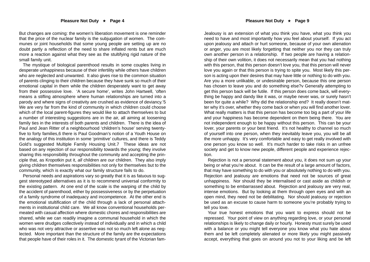But changes are coming: the women's liberation movement is one reminder that the price of the nuclear family is the subjugation of women. The communes or joint households that some young people are setting up are no doubt partly a reflection of the need to share inflated rents but are much more a reaction against what they see as the stultifying rigid nature of the small family unit.

The mystique of biological parenthood results in some couples living in desperate unhappiness because of their infertility while others have children who are neglected and unwanted. It also gives rise to the common situation of parents clinging to their children because they have sunk so much of their emotional capital in them while the children desperately want to get away from their possessive love. 'A secure home', writes John Hartwell, 'often means a stifling atmosphere where human relationships are turned into a parody and where signs of creativity are crushed as evidence of deviancy.'5 We are very far from the kind of community in which children could choose which of the local parent-figures they would like to attach themselves to but a number of interesting suggestions are in the air, all aiming at loosening family ties in the interests of both parents and children. There is the idea of Paul and Jean Ritter of a neighbourhood 'children's house' serving twentyfive to forty families,6 there is Paul Goodman's notion of a Youth House on the analogy of this institution in some 'primitive' cultures, and there is Teddy Gold's suggested Multiple Family Housing Unit.7 These ideas are not based on any rejection of our responsibility towards the young; they involve sharing this responsibility throughout the community and accepting the principle that, as Kropotkin put it, *all* children are *our* children. They also imply giving children themselves responsibilities not only for themselves but to the community, which is exactly what our family structure fails to do.

Personal needs and aspirations vary so greatly that it is as fatuous to suggest stereotyped alternatives as it is to recommend universal conformity to the existing pattern. At one end of the scale is the warping of the child by the accident of parenthood, either by possessiveness or by the perpetuation of a family syndrome of inadequacy and incompetence. At the other end is the emotional stultification of the child through a lack of personal attachments in institutional child care. We all know conventional households permeated with casual affection where domestic chores and responsibilities are shared, while we can readily imagine a communal household in which the women were drudges collectively instead of individually and in which a child who was not very attractive or assertive was not so much left alone as neglected. More important than the structure of the family are the expectations that people have of their roles in it. The domestic tyrant of the Victorian famJealousy is an extension of what you think you have, what you think you need to have and most importantly how you feel about yourself. If you act upon jealousy and attach or hurt someone, because of your own alienation or anger, you are most likely forgetting that neither you nor they can truly own another person in a relationship. If two people are having a relation ship of their own volition, it does not necessarily mean that you had nothing with this person, that this person doesn't love you, that this person will never love you again or that this person is trying to spite you. Most likely this per son is acting upon their desires that may have little or nothing to do with you. Are you a more unlikable, or undesirable person, because this one person has chosen to leave you and do something else?v Generally attempting to get this person back will be futile. If this person does come back, will every thing be happy and dandy like it was, or maybe never was, or surely hasn't been for quite a while? Why did the relationship end? It really doesn't mat ter why it's over, whether they come back or when you will find another lover. What really matters is that this person has become too big a part of your life and your happiness has become dependent on them being there. You are not independent enough to be happy without this person. This can be your lover, your parents or your best friend. It's not healthy to channel so much of yourself into one person, when they inevitably leave you, you will be all the more unhappy. It's very comfortable and easy to get really involved with one person you know so well. It's much harder to take risks in an unfree society and get to know new people, different people and experience rejec tion.

Rejection is not a personal statement about you, it does not sum up your being or what you're about. It can be the result of a large amount of factors, that may have something to do with you or absolutely nothing to do with you. Rejection and jealousy are emotions that need not be sources of great unhappiness. Nor should they be internalised or cast aside as childish or something to be embarrassed about. Rejection and jealousy are very real, intense emotions. But by looking at them through open eyes and with an open mind, they need not be debilitating. Nor should jealousy or rejection be used as an excuse to cause harm to someone you're probably trying to tell you love.

Your true honest emotions that you want to express should not be repressed. Your point of view on anything regarding love, or your personal relationships is likely to change daily or hourly. Honesty must surely be used with a balance or you might tell everyone you know what you hate about them and be left completely alienated or more likely you might passively accept, everything that goes on around you not to your liking and be left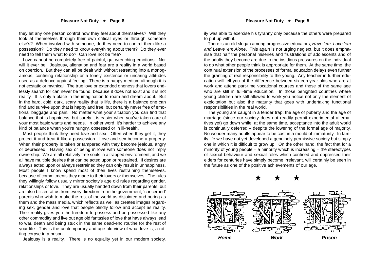they let any one person control how they feel about themselves? Will they look at themselves through their own critical eyes or through someone else's? When involved with someone, do they need to control them like a possession? Do they need to know everything about them? Do they ever need to tell them what to do? Can love not be free?

Love cannot he completely free of painful, gut-wrenching emotions. Nor will it ever be. Jealousy, alienation and fear are a reality in a world based on coercion. But they can all be dealt with without retreating into a monogamous, confining relationship or a lonely existence or uncaring attitudes used as a defence against feeling. There is a happy medium although it is not ecstatic or mythical. The true love or extended oneness that lovers endlessly search for can never be found, because it does not exist and it is not reality. It is only a place in the imagination to roam and dream about. But in the hard, cold, dark, scary reality that is life, there is a balance one can find and survive upon that is happy and free, but certainly never free of emotional baggage and pain. No matter what your situation you can find that balance that is happiness, but surely it is easier when you've taken care of your most basic wants and needs. In other word, it's harder to achieve any kind of balance when you're hungry, obsessed or in ill-health.

Most people think they need love and sex. Often when they get it, they protect it and treat it like a possession. Love and sex become a property. When their property is taken or tampered with they become jealous, angry or depressed. Having sex or being in love with someone does not imply ownership. We are all relatively free souls in a trapped environment, and we all have multiple desires that can be acted upon or restrained. If desires are always acted upon or always restrained they can only result in unhappiness. Most people I know spend most of their lives restraining themselves, because of commitments they made to their lovers or themselves. The rules they willingly follow usually mirror society's age old rules regarding gender, relationships or love. They are usually handed down from their parents, but are also blitzed at us from every direction from the government, 'concerned' parents who wish to make the rest of the world as disjointed and boring as them and the mass media, which reflects as well as creates images regarding sex, gender and love that people blindly follow and accept as reality. Their reality gives you the freedom to possess and be possessed like any other commodity and live out age old fantasies of love that have always lead to war, death and being stuck in the same dead-end routine for the rest of your life. This is the contemporary and age old view of what love is, a rotting corpse in a prison.

Jealousy is a reality. There is no equality yet in our modern society.

ily was able to exercise his tyranny only because the others were prepared to put up with it.

There is an old slogan among progressive educators, *Have 'em, Love 'em and Leave 'em Alone*. This again is not urging neglect, but it does emphasise that half the personal miseries and frustrations of adolescents and of the adults they become are due to the insidious pressures on the individual to do what other people think is appropriate for them. At the same time, the continual extension of the processes of formal education delays even further the granting of real responsibility to the young. Any teacher in further education will tell you of the difference between sixteen-year-olds who are at work and attend part-time vocational courses and those of the same age who are still in full-time education. In those benighted countries where young children are still allowed to work you notice not only the element of exploitation but also the maturity that goes with undertaking functional responsibilities in the real world.

The young are caught in a tender trap: the age of puberty and the age of marriage (since our society does not readily permit experimental alternatives yet) go down while, at the same time, acceptance into the adult world is continually deferred – despite the lowering of the formal age of majority. No wonder many adults appear to be cast in a mould of immaturity. In family life we have not yet developed a genuinely permissive society but simply one in which it is difficult to grow up. On the other hand, the fact that for a minority of young people – a minority which is increasing – the stereotypes of sexual behaviour and sexual roles which confined and oppressed their elders for centuries have simply become irrelevant, will certainly be seen in the future as one of the positive achievements of our age.



 $\star$   $\star$   $\star$